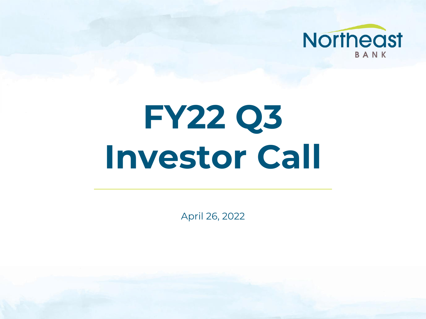

# **FY22 Q3 Investor Call**

April 26, 2022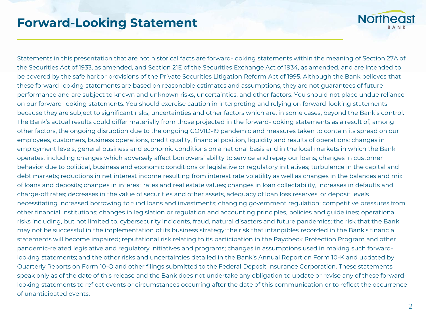### **Forward-Looking Statement**



Statements in this presentation that are not historical facts are forward-looking statements within the meaning of Section 27A of the Securities Act of 1933, as amended, and Section 21E of the Securities Exchange Act of 1934, as amended, and are intended to be covered by the safe harbor provisions of the Private Securities Litigation Reform Act of 1995. Although the Bank believes that these forward-looking statements are based on reasonable estimates and assumptions, they are not guarantees of future performance and are subject to known and unknown risks, uncertainties, and other factors. You should not place undue reliance on our forward-looking statements. You should exercise caution in interpreting and relying on forward-looking statements because they are subject to significant risks, uncertainties and other factors which are, in some cases, beyond the Bank's control. The Bank's actual results could differ materially from those projected in the forward-looking statements as a result of, among other factors, the ongoing disruption due to the ongoing COVID-19 pandemic and measures taken to contain its spread on our employees, customers, business operations, credit quality, financial position, liquidity and results of operations; changes in employment levels, general business and economic conditions on a national basis and in the local markets in which the Bank operates, including changes which adversely affect borrowers' ability to service and repay our loans; changes in customer behavior due to political, business and economic conditions or legislative or regulatory initiatives; turbulence in the capital and debt markets; reductions in net interest income resulting from interest rate volatility as well as changes in the balances and mix of loans and deposits; changes in interest rates and real estate values; changes in loan collectability, increases in defaults and charge-off rates; decreases in the value of securities and other assets, adequacy of loan loss reserves, or deposit levels necessitating increased borrowing to fund loans and investments; changing government regulation; competitive pressures from other financial institutions; changes in legislation or regulation and accounting principles, policies and guidelines; operational risks including, but not limited to, cybersecurity incidents, fraud, natural disasters and future pandemics; the risk that the Bank may not be successful in the implementation of its business strategy; the risk that intangibles recorded in the Bank's financial statements will become impaired; reputational risk relating to its participation in the Paycheck Protection Program and other pandemic-related legislative and regulatory initiatives and programs; changes in assumptions used in making such forwardlooking statements; and the other risks and uncertainties detailed in the Bank's Annual Report on Form 10-K and updated by Quarterly Reports on Form 10-Q and other filings submitted to the Federal Deposit Insurance Corporation. These statements speak only as of the date of this release and the Bank does not undertake any obligation to update or revise any of these forwardlooking statements to reflect events or circumstances occurring after the date of this communication or to reflect the occurrence of unanticipated events.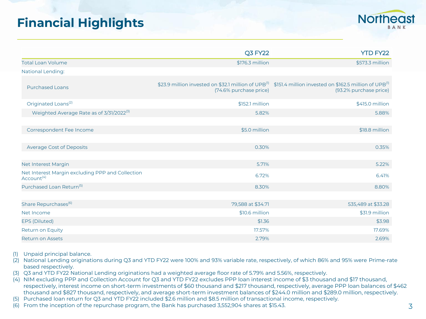**Financial Highlights**



|                                                                            | <b>Q3 FY22</b>         | <b>YTD FY22</b>                                                                                                                                 |
|----------------------------------------------------------------------------|------------------------|-------------------------------------------------------------------------------------------------------------------------------------------------|
| <b>Total Loan Volume</b>                                                   | \$176.3 million        | \$573.3 million                                                                                                                                 |
| <b>National Lending:</b>                                                   |                        |                                                                                                                                                 |
| <b>Purchased Loans</b>                                                     | (74.6% purchase price) | \$23.9 million invested on \$32.1 million of UPB $^{(1)}$ \$151.4 million invested on \$162.5 million of UPB $^{(1)}$<br>(93.2% purchase price) |
| Originated Loans <sup>(2)</sup>                                            | \$152.1 million        | \$415.0 million                                                                                                                                 |
| Weighted Average Rate as of 3/31/2022 <sup>(3)</sup>                       | 5.82%                  | 5.88%                                                                                                                                           |
|                                                                            |                        |                                                                                                                                                 |
| Correspondent Fee Income                                                   | \$5.0 million          | \$18.8 million                                                                                                                                  |
|                                                                            |                        |                                                                                                                                                 |
| <b>Average Cost of Deposits</b>                                            | 0.30%                  | 0.35%                                                                                                                                           |
|                                                                            |                        |                                                                                                                                                 |
| Net Interest Margin                                                        | 5.71%                  | 5.22%                                                                                                                                           |
| Net Interest Margin excluding PPP and Collection<br>Account <sup>(4)</sup> | 6.72%                  | 6.41%                                                                                                                                           |
| Purchased Loan Return <sup>(5)</sup>                                       | 8.30%                  | 8.80%                                                                                                                                           |
|                                                                            |                        |                                                                                                                                                 |
| Share Repurchases <sup>(6)</sup>                                           | 79,588 at \$34.71      | 535,489 at \$33.28                                                                                                                              |
| Net Income                                                                 | \$10.6 million         | \$31.9 million                                                                                                                                  |
| <b>EPS (Diluted)</b>                                                       | \$1.36                 | \$3.98                                                                                                                                          |
| Return on Equity                                                           | 17.57%                 | 17.69%                                                                                                                                          |
| <b>Return on Assets</b>                                                    | 2.79%                  | 2.69%                                                                                                                                           |

- (1) Unpaid principal balance.
- (2) National Lending originations during Q3 and YTD FY22 were 100% and 93% variable rate, respectively, of which 86% and 95% were Prime-rate based respectively.
- (3) Q3 and YTD FY22 National Lending originations had a weighted average floor rate of 5.79% and 5.56%, respectively.
- (4) NIM excluding PPP and Collection Account for Q3 and YTD FY22 excludes PPP loan interest income of \$3 thousand and \$17 thousand, respectively, interest income on short-term investments of \$60 thousand and \$217 thousand, respectively, average PPP loan balances of \$462 thousand and \$827 thousand, respectively, and average short-term investment balances of \$244.0 million and \$289.0 million, respectively.
- (5) Purchased loan return for Q3 and YTD FY22 included \$2.6 million and \$8.5 million of transactional income, respectively.
- (6) From the inception of the repurchase program, the Bank has purchased 3,552,904 shares at \$15.43.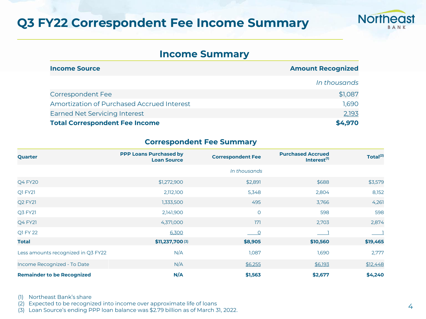### **Q3 FY22 Correspondent Fee Income Summary**



### **Income Summary**

| <b>Income Source</b>                       | <b>Amount Recognized</b> |
|--------------------------------------------|--------------------------|
|                                            | In thousands             |
| <b>Correspondent Fee</b>                   | \$1,087                  |
| Amortization of Purchased Accrued Interest | 1,690                    |
| <b>Earned Net Servicing Interest</b>       | 2,193                    |
| <b>Total Correspondent Fee Income</b>      | \$4,970                  |

### **Correspondent Fee Summary**

| Quarter                            | <b>PPP Loans Purchased by</b><br><b>Loan Source</b> | <b>Correspondent Fee</b> | <b>Purchased Accrued</b><br>Interest <sup>(1)</sup> | Total <sup>(2)</sup> |
|------------------------------------|-----------------------------------------------------|--------------------------|-----------------------------------------------------|----------------------|
|                                    |                                                     | In thousands             |                                                     |                      |
| <b>Q4 FY20</b>                     | \$1,272,900                                         | \$2,891                  | \$688                                               | \$3,579              |
| <b>Q1 FY21</b>                     | 2,112,100                                           | 5,348                    | 2,804                                               | 8,152                |
| <b>Q2 FY21</b>                     | 1,333,500                                           | 495                      | 3,766                                               | 4,261                |
| <b>Q3 FY21</b>                     | 2,141,900                                           | $\circ$                  | 598                                                 | 598                  |
| <b>Q4 FY21</b>                     | 4,371,000                                           | 171                      | 2,703                                               | 2,874                |
| <b>Q1 FY 22</b>                    | 6,300                                               | $\overline{\phantom{0}}$ |                                                     |                      |
| <b>Total</b>                       | \$11,237,700 (3)                                    | \$8,905                  | \$10,560                                            | \$19,465             |
| Less amounts recognized in Q3 FY22 | N/A                                                 | 1,087                    | 1,690                                               | 2,777                |
| Income Recognized - To Date        | N/A                                                 | \$6,255                  | \$6,193                                             | \$12,448             |
| <b>Remainder to be Recognized</b>  | N/A                                                 | \$1,563                  | \$2,677                                             | \$4,240              |

(1) Northeast Bank's share

(2) Expected to be recognized into income over approximate life of loans

(3) Loan Source's ending PPP loan balance was \$2.79 billion as of March 31, 2022.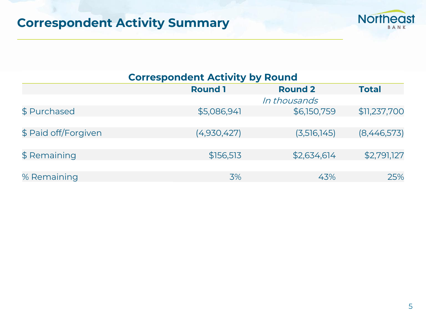

| <b>Correspondent Activity by Round</b> |                |                |              |  |  |  |  |
|----------------------------------------|----------------|----------------|--------------|--|--|--|--|
|                                        | <b>Round 1</b> | <b>Round 2</b> |              |  |  |  |  |
|                                        |                | In thousands   |              |  |  |  |  |
| \$ Purchased                           | \$5,086,941    | \$6,150,759    | \$11,237,700 |  |  |  |  |
|                                        |                |                |              |  |  |  |  |
| \$ Paid off/Forgiven                   | (4,930,427)    | (3,516,145)    | (8,446,573)  |  |  |  |  |
|                                        |                |                |              |  |  |  |  |
| \$ Remaining                           | \$156,513      | \$2,634,614    | \$2,791,127  |  |  |  |  |
|                                        |                |                |              |  |  |  |  |
| % Remaining                            | 3%             | 43%            | 25%          |  |  |  |  |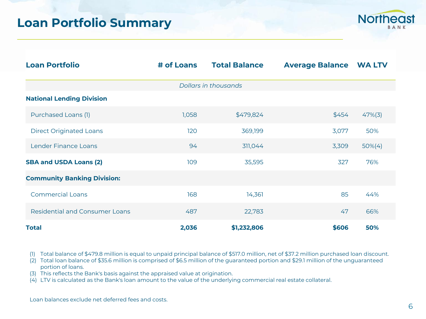### **Loan Portfolio Summary**



| <b>Loan Portfolio</b>                 | # of Loans           | <b>Total Balance</b> | <b>Average Balance</b> | <b>WA LTV</b> |  |  |  |  |  |
|---------------------------------------|----------------------|----------------------|------------------------|---------------|--|--|--|--|--|
|                                       | Dollars in thousands |                      |                        |               |  |  |  |  |  |
| <b>National Lending Division</b>      |                      |                      |                        |               |  |  |  |  |  |
| Purchased Loans (1)                   | 1,058                | \$479,824            | \$454                  | $47\%(3)$     |  |  |  |  |  |
| <b>Direct Originated Loans</b>        | 120                  | 369,199              | 3,077                  | 50%           |  |  |  |  |  |
| Lender Finance Loans                  | 94                   | 311,044              | 3,309                  | $50\%(4)$     |  |  |  |  |  |
| <b>SBA and USDA Loans (2)</b>         | 109                  | 35,595               | 327                    | 76%           |  |  |  |  |  |
| <b>Community Banking Division:</b>    |                      |                      |                        |               |  |  |  |  |  |
| <b>Commercial Loans</b>               | 168                  | 14,361               | 85                     | 44%           |  |  |  |  |  |
| <b>Residential and Consumer Loans</b> | 487                  | 22,783               | 47                     | 66%           |  |  |  |  |  |
| <b>Total</b>                          | 2,036                | \$1,232,806          | \$606                  | 50%           |  |  |  |  |  |

- (1) Total balance of \$479.8 million is equal to unpaid principal balance of \$517.0 million, net of \$37.2 million purchased loan discount.
- (2) Total loan balance of \$35.6 million is comprised of \$6.5 million of the guaranteed portion and \$29.1 million of the unguaranteed portion of loans.
- (3) This reflects the Bank's basis against the appraised value at origination.
- (4) LTV is calculated as the Bank's loan amount to the value of the underlying commercial real estate collateral.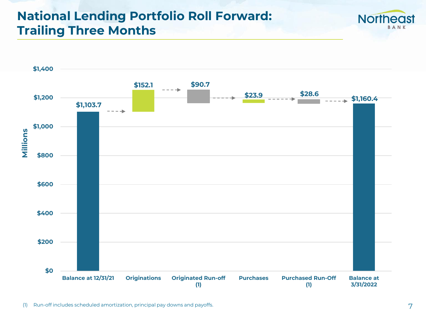# **National Lending Portfolio Roll Forward: Trailing Three Months**



**Northeast** 

BANK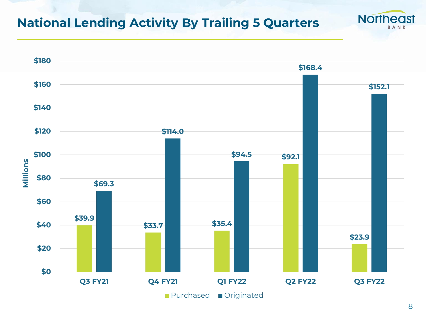# **National Lending Activity By Trailing 5 Quarters**



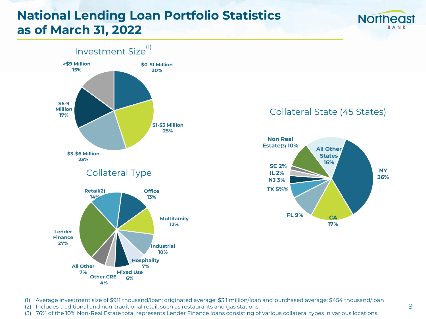# **National Lending Loan Portfolio Statistics as of March 31, 2022**



(1) Average investment size of \$911 thousand/loan; originated average: \$3.1 million/loan and purchased average: \$454 thousand/loan

- (2) Includes traditional and non-traditional retail, such as restaurants and gas stations.
- (3) 76% of the 10% Non-Real Estate total represents Lender Finance loans consisting of various collateral types in various locations.

**NY 36%**

**Northeast** 

BANK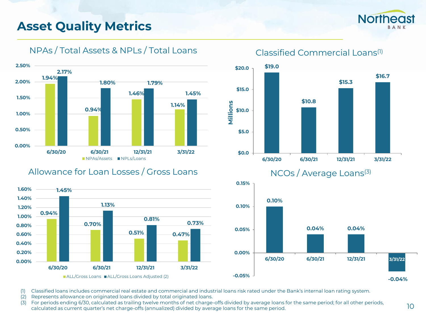

### **Asset Quality Metrics**



### NPAs / Total Assets & NPLs / Total Loans

### Allowance for Loan Losses / Gross Loans



### Classified Commercial Loans(1)







(1) Classified loans includes commercial real estate and commercial and industrial loans risk rated under the Bank's internal loan rating system.

(2) Represents allowance on originated loans divided by total originated loans.

(3) For periods ending 6/30, calculated as trailing twelve months of net charge-offs divided by average loans for the same period; for all other periods, calculated as current quarter's net charge-offs (annualized) divided by average loans for the same period.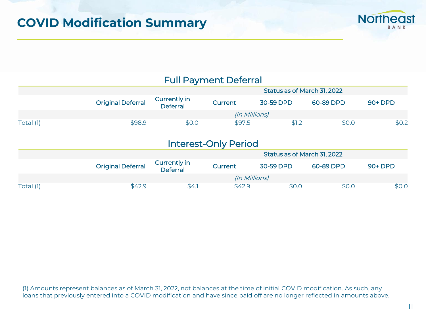**COVID Modification Summary**



|           |                          |                                                                                    | <b>Full Payment Deferral</b> |                             |           |         |  |  |
|-----------|--------------------------|------------------------------------------------------------------------------------|------------------------------|-----------------------------|-----------|---------|--|--|
|           |                          |                                                                                    | Status as of March 31, 2022  |                             |           |         |  |  |
|           | <b>Original Deferral</b> | <b>Currently in</b><br>60-89 DPD<br><b>Current</b><br>30-59 DPD<br><b>Deferral</b> |                              |                             |           |         |  |  |
|           |                          |                                                                                    | (In Millions)                |                             |           |         |  |  |
| Total (1) | \$98.9                   | \$0.0                                                                              | \$1.2<br>\$0.0<br>\$97.5     |                             |           |         |  |  |
|           |                          |                                                                                    | <b>Interest-Only Period</b>  |                             |           |         |  |  |
|           |                          |                                                                                    |                              | Status as of March 31, 2022 |           |         |  |  |
|           | <b>Original Deferral</b> | <b>Currently in</b><br><b>Deferral</b>                                             | <b>Current</b>               | 30-59 DPD                   | 60-89 DPD | 90+ DPD |  |  |
|           |                          |                                                                                    | (In Millions)                |                             |           |         |  |  |
| Total (1) | \$42.9                   | \$4.1                                                                              | \$42.9                       | \$0.0                       | \$0.0     | \$0.0   |  |  |

(1) Amounts represent balances as of March 31, 2022, not balances at the time of initial COVID modification. As such, any loans that previously entered into a COVID modification and have since paid off are no longer reflected in amounts above.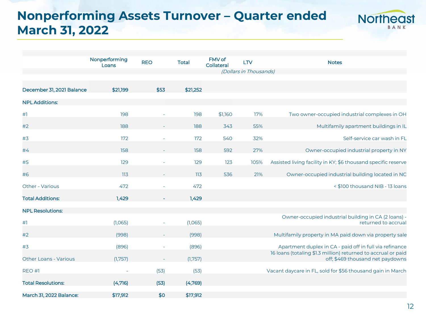# **Nonperforming Assets Turnover – Quarter ended March 31, 2022**



|                              | Nonperforming<br>Loans | <b>REO</b> | <b>Total</b> | FMV of<br>Collateral | LTV                    | <b>Notes</b>                                                                                      |
|------------------------------|------------------------|------------|--------------|----------------------|------------------------|---------------------------------------------------------------------------------------------------|
|                              |                        |            |              |                      | (Dollars in Thousands) |                                                                                                   |
| December 31, 2021 Balance    | \$21,199               | \$53       | \$21,252     |                      |                        |                                                                                                   |
| <b>NPL Additions:</b>        |                        |            |              |                      |                        |                                                                                                   |
| #1                           | 198                    |            | 198          | \$1,160              | 17%                    | Two owner-occupied industrial complexes in OH                                                     |
| #2                           | 188                    |            | 188          | 343                  | 55%                    | Multifamily apartment buildings in IL                                                             |
| #3                           | 172                    |            | 172          | 540                  | 32%                    | Self-service car wash in FL                                                                       |
| #4                           | 158                    |            | 158          | 592                  | 27%                    | Owner-occupied industrial property in NY                                                          |
| #5                           | 129                    |            | 129          | 123                  | 105%                   | Assisted living facility in KY; \$6 thousand specific reserve                                     |
| #6                           | 113                    |            | 113          | 536                  | 21%                    | Owner-occupied industrial building located in NC                                                  |
| Other - Various              | 472                    |            | 472          |                      |                        | < \$100 thousand NIB - 13 loans                                                                   |
| <b>Total Additions:</b>      | 1,429                  |            | 1,429        |                      |                        |                                                                                                   |
| <b>NPL Resolutions:</b>      |                        |            |              |                      |                        |                                                                                                   |
| #1                           | (1,065)                |            | (1,065)      |                      |                        | Owner-occupied industrial building in CA (2 loans) -<br>returned to accrual                       |
| #2                           | (998)                  |            | (998)        |                      |                        | Multifamily property in MA paid down via property sale                                            |
| #3                           | (896)                  |            | (896)        |                      |                        | Apartment duplex in CA - paid off in full via refinance                                           |
| <b>Other Loans - Various</b> | (1,757)                |            | (1,757)      |                      |                        | 16 loans (totaling \$1.3 million) returned to accrual or paid<br>off; \$469 thousand net paydowns |
| <b>REO#1</b>                 |                        | (53)       | (53)         |                      |                        | Vacant daycare in FL, sold for \$56 thousand gain in March                                        |
| <b>Total Resolutions:</b>    | (4,716)                | (53)       | (4,769)      |                      |                        |                                                                                                   |
| March 31, 2022 Balance:      | \$17,912               | \$0        | \$17,912     |                      |                        |                                                                                                   |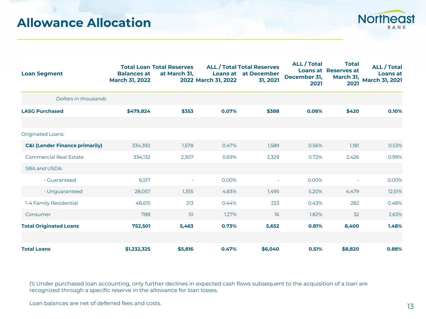### **Allowance Allocation**



| <b>Loan Segment</b>                       | <b>Balances at</b><br><b>March 31, 2022</b> | <b>Total Loan Total Reserves</b><br>at March 31, | 2022 March 31, 2022 | <b>ALL / Total Total Reserves</b><br><b>Loans at at December</b><br>31, 2021 | <b>ALL</b> / Total<br>December 31,<br>2021 | <b>Total</b><br><b>Loans at Reserves at</b><br><b>March 31,</b><br>2021 | <b>ALL</b> / Total<br>Loans at<br><b>March 31, 2021</b> |
|-------------------------------------------|---------------------------------------------|--------------------------------------------------|---------------------|------------------------------------------------------------------------------|--------------------------------------------|-------------------------------------------------------------------------|---------------------------------------------------------|
| Dollars in thousands                      |                                             |                                                  |                     |                                                                              |                                            |                                                                         |                                                         |
| <b>LASG Purchased</b>                     | \$479,824                                   | \$353                                            | 0.07%               | \$388                                                                        | 0.08%                                      | \$420                                                                   | 0.10%                                                   |
|                                           |                                             |                                                  |                     |                                                                              |                                            |                                                                         |                                                         |
| <b>Originated Loans:</b>                  |                                             |                                                  |                     |                                                                              |                                            |                                                                         |                                                         |
| <b>C&amp;I (Lender Finance primarily)</b> | 334,392                                     | 1,578                                            | 0.47%               | 1,589                                                                        | 0.56%                                      | 1,181                                                                   | 0.53%                                                   |
| <b>Commercial Real Estate</b>             | 334,132                                     | 2,307                                            | 0.69%               | 2,329                                                                        | 0.72%                                      | 2,426                                                                   | 0.99%                                                   |
| SBA and USDA:                             |                                             |                                                  |                     |                                                                              |                                            |                                                                         |                                                         |
| - Guaranteed                              | 6,517                                       | ÷                                                | 0.00%               | $\overline{\phantom{a}}$                                                     | 0.00%                                      | $\overline{\phantom{0}}$                                                | 0.00%                                                   |
| - Unguaranteed                            | 28,057                                      | 1,355                                            | 4.83%               | 1,495                                                                        | 5.20%                                      | 4,479                                                                   | 12.51%                                                  |
| 1-4 Family Residential                    | 48,615                                      | 213                                              | 0.44%               | 223                                                                          | 0.43%                                      | 282                                                                     | 0.48%                                                   |
| Consumer                                  | 788                                         | 10                                               | 1.27%               | 16                                                                           | 1.82%                                      | 32                                                                      | 2.63%                                                   |
| <b>Total Originated Loans</b>             | 752,501                                     | 5,463                                            | 0.73%               | 5,652                                                                        | 0.81%                                      | 8,400                                                                   | 1.48%                                                   |
|                                           |                                             |                                                  |                     |                                                                              |                                            |                                                                         |                                                         |
| <b>Total Loans</b>                        | \$1,232,325                                 | \$5,816                                          | 0.47%               | \$6,040                                                                      | 0.51%                                      | \$8,820                                                                 | 0.88%                                                   |

(1) Under purchased loan accounting, only further declines in expected cash flows subsequent to the acquisition of a loan are recognized through a specific reserve in the allowance for loan losses.

Loan balances are net of deferred fees and costs.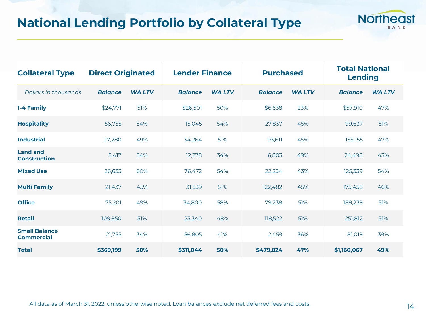# **National Lending Portfolio by Collateral Type**



| <b>Collateral Type</b>                    | <b>Direct Originated</b> |               | <b>Lender Finance</b> |               | <b>Purchased</b> |               | <b>Total National</b><br><b>Lending</b> |               |
|-------------------------------------------|--------------------------|---------------|-----------------------|---------------|------------------|---------------|-----------------------------------------|---------------|
| Dollars in thousands                      | <b>Balance</b>           | <b>WA LTV</b> | <b>Balance</b>        | <b>WA LTV</b> | <b>Balance</b>   | <b>WA LTV</b> | <b>Balance</b>                          | <b>WA LTV</b> |
| 1-4 Family                                | \$24,771                 | 51%           | \$26,501              | 50%           | \$6,638          | 23%           | \$57,910                                | 47%           |
| <b>Hospitality</b>                        | 56,755                   | 54%           | 15,045                | 54%           | 27,837           | 45%           | 99,637                                  | 51%           |
| <b>Industrial</b>                         | 27,280                   | 49%           | 34,264                | 51%           | 93,611           | 45%           | 155,155                                 | 47%           |
| <b>Land and</b><br><b>Construction</b>    | 5,417                    | 54%           | 12,278                | 34%           | 6,803            | 49%           | 24,498                                  | 43%           |
| <b>Mixed Use</b>                          | 26,633                   | 60%           | 76,472                | 54%           | 22,234           | 43%           | 125,339                                 | 54%           |
| <b>Multi Family</b>                       | 21,437                   | 45%           | 31,539                | 51%           | 122,482          | 45%           | 175,458                                 | 46%           |
| <b>Office</b>                             | 75,201                   | 49%           | 34,800                | 58%           | 79,238           | 51%           | 189,239                                 | 51%           |
| <b>Retail</b>                             | 109,950                  | 51%           | 23,340                | 48%           | 118,522          | 51%           | 251,812                                 | 51%           |
| <b>Small Balance</b><br><b>Commercial</b> | 21,755                   | 34%           | 56,805                | 41%           | 2,459            | 36%           | 81,019                                  | 39%           |
| <b>Total</b>                              | \$369,199                | 50%           | \$311,044             | 50%           | \$479,824        | 47%           | \$1,160,067                             | 49%           |

All data as of March 31, 2022, unless otherwise noted. Loan balances exclude net deferred fees and costs.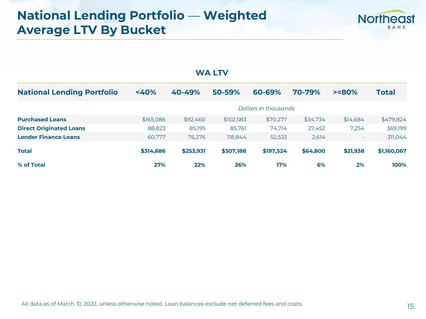# **National Lending Portfolio** — **Weighted Average LTV By Bucket**



| <b>WA LTV</b>                     |                      |           |           |           |          |           |              |  |
|-----------------------------------|----------------------|-----------|-----------|-----------|----------|-----------|--------------|--|
| <b>National Lending Portfolio</b> | < 40%                | 40-49%    | 50-59%    | 60-69%    | 70-79%   | $>= 80\%$ | <b>Total</b> |  |
|                                   | Dollars in thousands |           |           |           |          |           |              |  |
| <b>Purchased Loans</b>            | \$165,086            | \$92,460  | \$102,583 | \$70,277  | \$34,734 | \$14,684  | \$479,824    |  |
| <b>Direct Originated Loans</b>    | 88,823               | 85.195    | 85.761    | 74.714    | 27,452   | 7.254     | 369,199      |  |
| <b>Lender Finance Loans</b>       | 60.777               | 76,276    | 118,844   | 52,533    | 2,614    | $\sim$    | 311,044      |  |
| <b>Total</b>                      | \$314,686            | \$253,931 | \$307.188 | \$197,524 | \$64,800 | \$21,938  | \$1,160,067  |  |
| % of Total                        | 27%                  | 22%       | 26%       | 17%       | 6%       | 2%        | 100%         |  |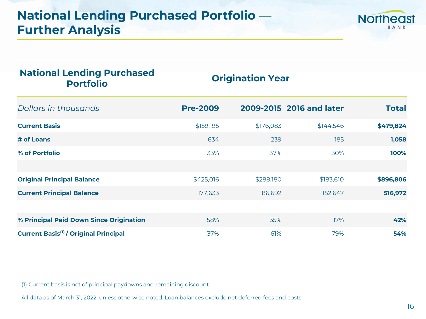

| <b>National Lending Purchased</b><br><b>Portfolio</b>  | <b>Origination Year</b> |           |                          |              |
|--------------------------------------------------------|-------------------------|-----------|--------------------------|--------------|
| Dollars in thousands                                   | <b>Pre-2009</b>         |           | 2009-2015 2016 and later | <b>Total</b> |
| <b>Current Basis</b>                                   | \$159,195               | \$176,083 | \$144,546                | \$479,824    |
| # of Loans                                             | 634                     | 239       | 185                      | 1,058        |
| % of Portfolio                                         | 33%                     | 37%       | 30%                      | 100%         |
| <b>Original Principal Balance</b>                      | \$425,016               | \$288,180 | \$183,610                | \$896,806    |
| <b>Current Principal Balance</b>                       | 177,633                 | 186,692   | 152,647                  | 516,972      |
|                                                        |                         |           |                          |              |
| % Principal Paid Down Since Origination                | 58%                     | 35%       | 17%                      | 42%          |
| <b>Current Basis<sup>(1)</sup>/ Original Principal</b> | 37%                     | 61%       | 79%                      | 54%          |

(1) Current basis is net of principal paydowns and remaining discount.

All data as of March 31, 2022, unless otherwise noted. Loan balances exclude net deferred fees and costs.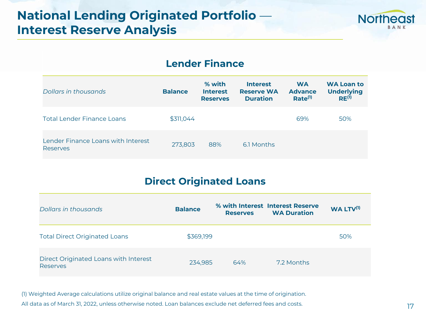# **National Lending Originated Portfolio** — **Interest Reserve Analysis**



### **Lender Finance**

| Dollars in thousands                           | <b>Balance</b> | % with<br><b>Interest</b><br><b>Reserves</b> | <b>Interest</b><br><b>Reserve WA</b><br><b>Duration</b> | <b>WA</b><br><b>Advance</b><br>Rate <sup>(1)</sup> | <b>WA Loan to</b><br><b>Underlying</b><br>$RE^{(1)}$ |
|------------------------------------------------|----------------|----------------------------------------------|---------------------------------------------------------|----------------------------------------------------|------------------------------------------------------|
| <b>Total Lender Finance Loans</b>              | \$311,044      |                                              |                                                         | 69%                                                | 50%                                                  |
| Lender Finance Loans with Interest<br>Reserves | 273,803        | 88%                                          | 6.1 Months                                              |                                                    |                                                      |

### **Direct Originated Loans**

| Dollars in thousands                              | <b>Balance</b> | <b>Reserves</b> | % with Interest Interest Reserve<br><b>WA Duration</b> | $WA$ LTV $^{(1)}$ |
|---------------------------------------------------|----------------|-----------------|--------------------------------------------------------|-------------------|
| <b>Total Direct Originated Loans</b>              | \$369,199      |                 |                                                        | 50%               |
| Direct Originated Loans with Interest<br>Reserves | 234,985        | 64%             | 7.2 Months                                             |                   |

(1) Weighted Average calculations utilize original balance and real estate values at the time of origination.

17 All data as of March 31, 2022, unless otherwise noted. Loan balances exclude net deferred fees and costs.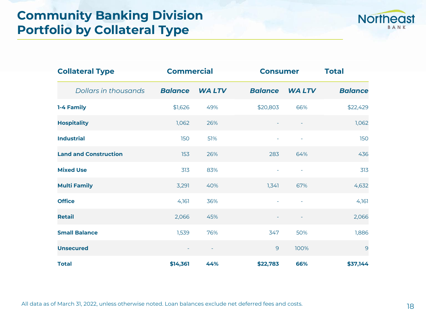# **Community Banking Division Portfolio by Collateral Type**



| <b>Collateral Type</b>       | <b>Commercial</b> |                          |                          | <b>Consumer</b>          |                |
|------------------------------|-------------------|--------------------------|--------------------------|--------------------------|----------------|
| Dollars in thousands         | <b>Balance</b>    | <b>WA LTV</b>            | <b>Balance</b>           | <b>WALTV</b>             | <b>Balance</b> |
| 1-4 Family                   | \$1,626           | 49%                      | \$20,803                 | 66%                      | \$22,429       |
| <b>Hospitality</b>           | 1,062             | 26%                      |                          |                          | 1,062          |
| <b>Industrial</b>            | 150               | 51%                      | $\bar{\phantom{a}}$      | L,                       | 150            |
| <b>Land and Construction</b> | 153               | 26%                      | 283                      | 64%                      | 436            |
| <b>Mixed Use</b>             | 313               | 83%                      | $\equiv$                 | $\overline{\phantom{a}}$ | 313            |
| <b>Multi Family</b>          | 3,291             | 40%                      | 1,341                    | 67%                      | 4,632          |
| <b>Office</b>                | 4,161             | 36%                      | $\overline{\phantom{a}}$ | $\overline{\phantom{a}}$ | 4,161          |
| <b>Retail</b>                | 2,066             | 45%                      |                          | $\overline{\phantom{a}}$ | 2,066          |
| <b>Small Balance</b>         | 1,539             | 76%                      | 347                      | 50%                      | 1,886          |
| <b>Unsecured</b>             |                   | $\overline{\phantom{a}}$ | $\overline{9}$           | 100%                     | 9              |
| <b>Total</b>                 | \$14,361          | 44%                      | \$22,783                 | 66%                      | \$37,144       |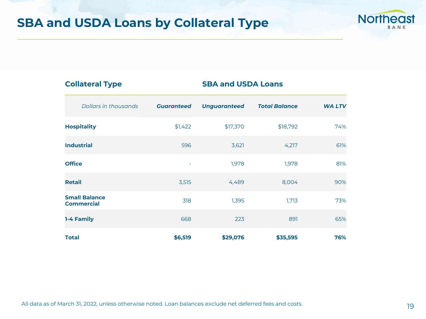

### **Collateral Type SBA and USDA Loans**

| Dollars in thousands                      | <b>Guaranteed</b> | <b>Unguaranteed</b> | <b>Total Balance</b> | <b>WA LTV</b> |
|-------------------------------------------|-------------------|---------------------|----------------------|---------------|
| <b>Hospitality</b>                        | \$1,422           | \$17,370            | \$18,792             | 74%           |
| <b>Industrial</b>                         | 596               | 3,621               | 4,217                | 61%           |
| <b>Office</b>                             |                   | 1,978               | 1,978                | 81%           |
| <b>Retail</b>                             | 3,515             | 4,489               | 8,004                | 90%           |
| <b>Small Balance</b><br><b>Commercial</b> | 318               | 1,395               | 1,713                | 73%           |
| 1-4 Family                                | 668               | 223                 | 891                  | 65%           |
| <b>Total</b>                              | \$6,519           | \$29,076            | \$35,595             | 76%           |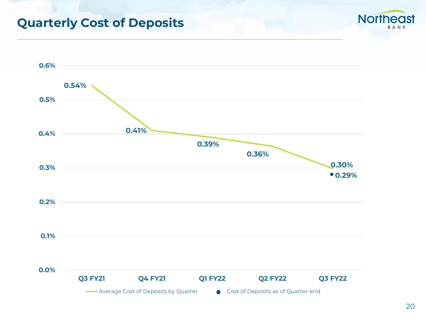### **Quarterly Cost of Deposits**



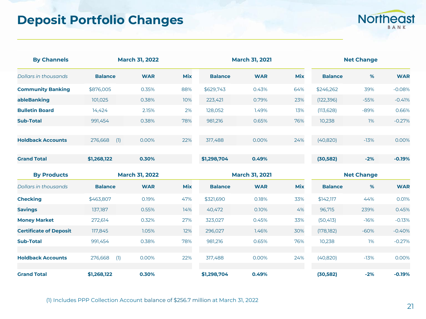# **Deposit Portfolio Changes**



| <b>By Channels</b>            |                | <b>March 31, 2022</b> |            |                | <b>March 31, 2021</b> |            |                | <b>Net Change</b> |            |
|-------------------------------|----------------|-----------------------|------------|----------------|-----------------------|------------|----------------|-------------------|------------|
| Dollars in thousands          | <b>Balance</b> | <b>WAR</b>            | <b>Mix</b> | <b>Balance</b> | <b>WAR</b>            | <b>Mix</b> | <b>Balance</b> | %                 | <b>WAR</b> |
| <b>Community Banking</b>      | \$876,005      | 0.35%                 | 88%        | \$629,743      | 0.43%                 | 64%        | \$246,262      | 39%               | $-0.08%$   |
| ableBanking                   | 101,025        | 0.38%                 | 10%        | 223,421        | 0.79%                 | 23%        | (122, 396)     | $-55%$            | $-0.41%$   |
| <b>Bulletin Board</b>         | 14,424         | 2.15%                 | 2%         | 128,052        | 1.49%                 | 13%        | (113, 628)     | $-89%$            | 0.66%      |
| <b>Sub-Total</b>              | 991,454        | 0.38%                 | 78%        | 981,216        | 0.65%                 | 76%        | 10,238         | 1%                | $-0.27%$   |
| <b>Holdback Accounts</b>      | 276,668<br>(1) | 0.00%                 | 22%        | 317,488        | 0.00%                 | 24%        | (40, 820)      | $-13%$            | 0.00%      |
| <b>Grand Total</b>            | \$1,268,122    | 0.30%                 |            | \$1,298,704    | 0.49%                 |            | (30, 582)      | $-2%$             | $-0.19%$   |
| <b>By Products</b>            |                | <b>March 31, 2022</b> |            |                | <b>March 31, 2021</b> |            |                | <b>Net Change</b> |            |
| Dollars in thousands          | <b>Balance</b> | <b>WAR</b>            | <b>Mix</b> | <b>Balance</b> | <b>WAR</b>            | <b>Mix</b> | <b>Balance</b> | %                 | <b>WAR</b> |
| <b>Checking</b>               | \$463,807      | 0.19%                 | 47%        | \$321,690      | 0.18%                 | 33%        | \$142,117      | 44%               | 0.01%      |
| <b>Savings</b>                | 137,187        | 0.55%                 | 14%        | 40,472         | 0.10%                 | 4%         | 96,715         | 239%              | 0.45%      |
| <b>Money Market</b>           | 272,614        | 0.32%                 | 27%        | 323,027        | 0.45%                 | 33%        | (50, 413)      | $-16%$            | $-0.13%$   |
| <b>Certificate of Deposit</b> | 117,845        | 1.05%                 | 12%        | 296,027        | 1.46%                 | 30%        | (178, 182)     | $-60%$            | $-0.40%$   |
| <b>Sub-Total</b>              | 991,454        | 0.38%                 | 78%        | 981,216        | 0.65%                 | 76%        | 10,238         | 1%                | $-0.27%$   |
|                               |                |                       |            |                |                       |            |                |                   |            |
| <b>Holdback Accounts</b>      | (1)<br>276,668 | 0.00%                 | 22%        | 317,488        | 0.00%                 | 24%        | (40, 820)      | $-13%$            | 0.00%      |

(1) Includes PPP Collection Account balance of \$256.7 million at March 31, 2022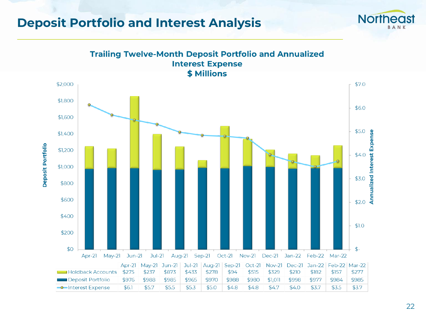### **Deposit Portfolio and Interest Analysis**



### **Trailing Twelve-Month Deposit Portfolio and Annualized Interest Expense \$ Millions**

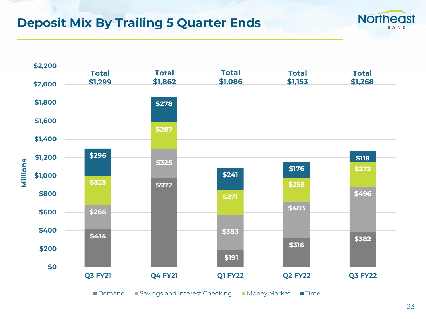# **Deposit Mix By Trailing 5 Quarter Ends**



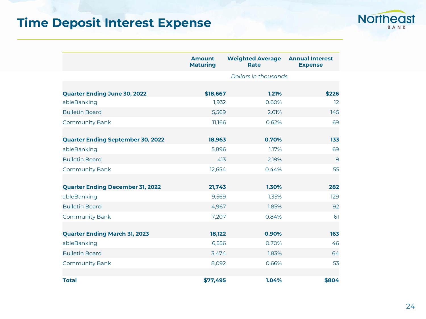# **Time Deposit Interest Expense**



|                                          | <b>Amount</b><br><b>Maturing</b> | <b>Weighted Average</b><br>Rate | <b>Annual Interest</b><br><b>Expense</b> |
|------------------------------------------|----------------------------------|---------------------------------|------------------------------------------|
|                                          |                                  | Dollars in thousands            |                                          |
| <b>Quarter Ending June 30, 2022</b>      | \$18,667                         | 1.21%                           | \$226                                    |
| ableBanking<br><b>Bulletin Board</b>     | 1,932<br>5,569                   | 0.60%<br>2.61%                  | 12<br>145                                |
| <b>Community Bank</b>                    | 11,166                           | 0.62%                           | 69                                       |
| <b>Quarter Ending September 30, 2022</b> | 18,963                           | 0.70%                           | 133                                      |
| ableBanking                              | 5,896                            | 1.17%                           | 69                                       |
| <b>Bulletin Board</b>                    | 413                              | 2.19%                           | 9                                        |
| <b>Community Bank</b>                    | 12,654                           | 0.44%                           | 55                                       |
| <b>Quarter Ending December 31, 2022</b>  | 21,743                           | 1.30%                           | 282                                      |
| ableBanking                              | 9,569                            | 1.35%                           | 129                                      |
| <b>Bulletin Board</b>                    | 4,967                            | 1.85%                           | 92                                       |
| <b>Community Bank</b>                    | 7,207                            | 0.84%                           | 61                                       |
| <b>Quarter Ending March 31, 2023</b>     | 18,122                           | 0.90%                           | 163                                      |
| ableBanking                              | 6,556                            | 0.70%                           | 46                                       |
| <b>Bulletin Board</b>                    | 3,474                            | 1.83%                           | 64                                       |
| <b>Community Bank</b>                    | 8,092                            | 0.66%                           | 53                                       |
| <b>Total</b>                             | \$77,495                         | 1.04%                           | \$804                                    |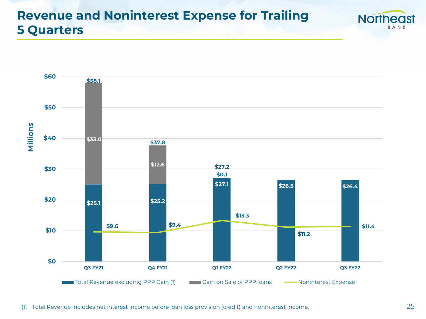### **Revenue and Noninterest Expense for Trailing 5 Quarters**



**Northeast** 

BANK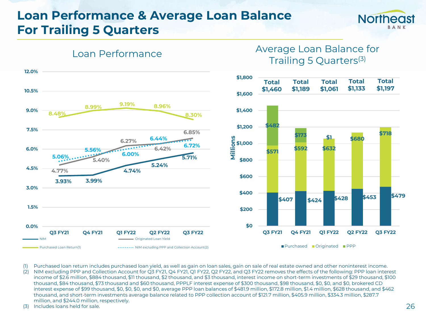### **Loan Performance & Average Loan Balance For Trailing 5 Quarters**





Loan Performance **Average Loan Balance for** Trailing 5 Quarters(3)



- Purchased loan return includes purchased loan yield, as well as gain on loan sales, gain on sale of real estate owned and other noninterest income.
- (2) NIM excluding PPP and Collection Account for Q3 FY21, Q4 FY21, Q1 FY22, Q2 FY22, and Q3 FY22 removes the effects of the following: PPP loan interest income of \$2.6 million, \$884 thousand, \$11 thousand, \$2 thousand, and \$3 thousand, interest income on short-term investments of \$29 thousand, \$100 thousand, \$84 thousand, \$73 thousand and \$60 thousand, PPPLF interest expense of \$300 thousand, \$98 thousand, \$0, \$0, and \$0, brokered CD interest expense of \$99 thousand, \$0, \$0, \$0, and \$0, average PPP loan balances of \$481.9 million, \$172.8 million, \$1.4 million, \$628 thousand, and \$462 thousand, and short-term investments average balance related to PPP collection account of \$121.7 million, \$405.9 million, \$334.3 million, \$287.7 million, and \$244.0 million, respectively.
- (3) Includes loans held for sale.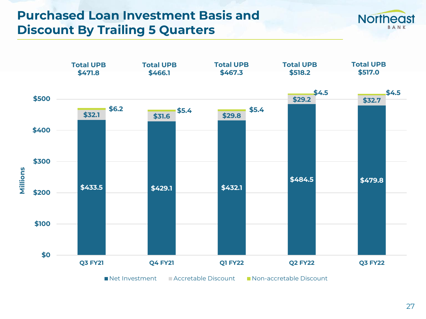# **Purchased Loan Investment Basis and Discount By Trailing 5 Quarters**





Net Investment Accretable Discount Non-accretable Discount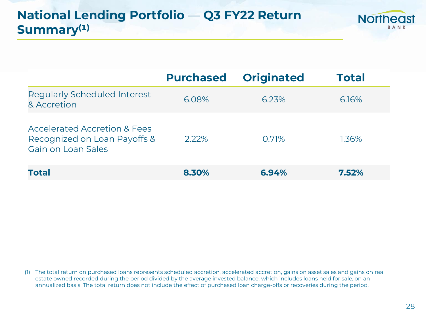# **National Lending Portfolio** — **Q3 FY22 Return Summary(¹ )**



|                                                                                               | <b>Purchased</b> | <b>Originated</b> | <b>Total</b> |
|-----------------------------------------------------------------------------------------------|------------------|-------------------|--------------|
| <b>Regularly Scheduled Interest</b><br>& Accretion                                            | 6.08%            | 6.23%             | 6.16%        |
| <b>Accelerated Accretion &amp; Fees</b><br>Recognized on Loan Payoffs &<br>Gain on Loan Sales | 2.22%            | 0.71%             | 1.36%        |
| <b>Total</b>                                                                                  | 8.30%            | 6.94%             | 7.52%        |

(1) The total return on purchased loans represents scheduled accretion, accelerated accretion, gains on asset sales and gains on real estate owned recorded during the period divided by the average invested balance, which includes loans held for sale, on an annualized basis. The total return does not include the effect of purchased loan charge-offs or recoveries during the period.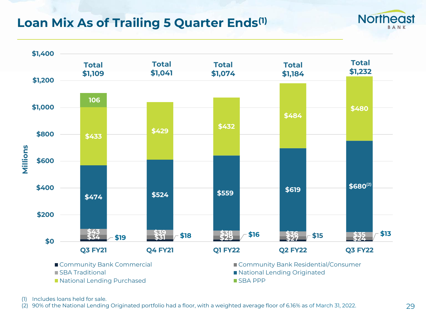# **Loan Mix As of Trailing 5 Quarter Ends(1)**





### (1) Includes loans held for sale.

(2) 90% of the National Lending Originated portfolio had a floor, with a weighted average floor of 6.16% as of March 31, 2022.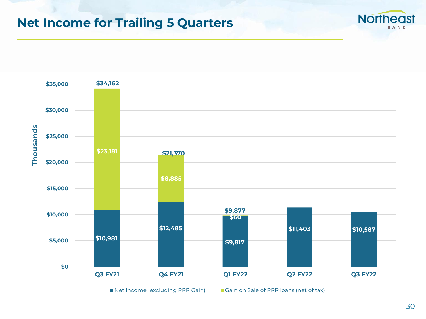### **Net Income for Trailing 5 Quarters**



**Northeast** 

BANK